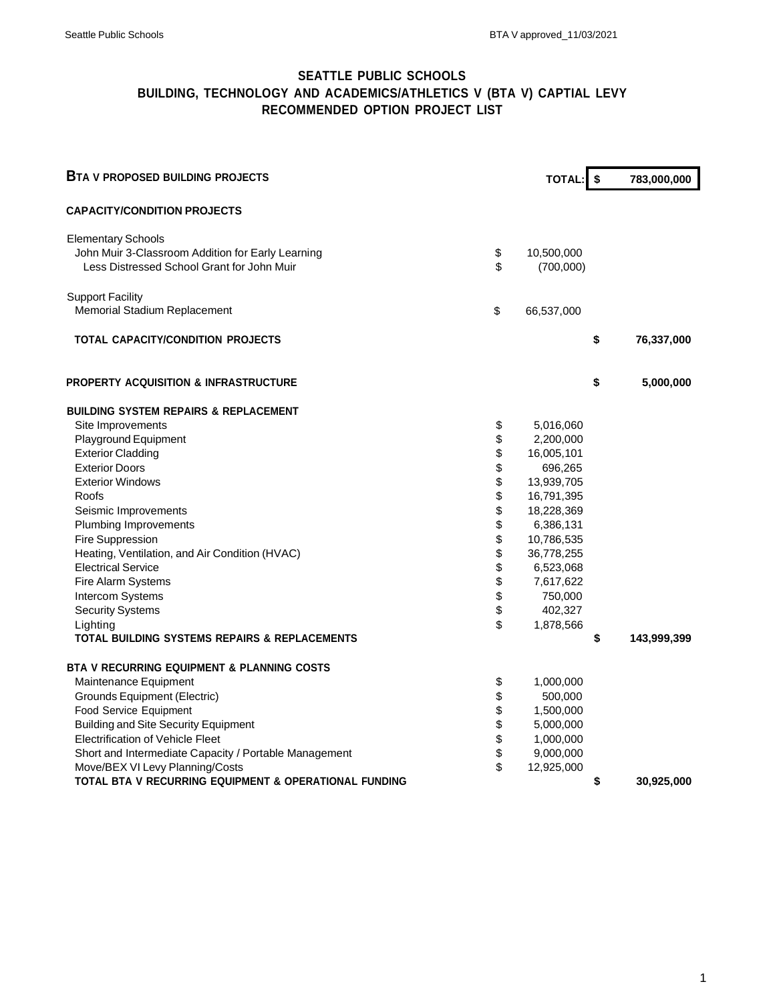## **SEATTLE PUBLIC SCHOOLS BUILDING, TECHNOLOGY AND ACADEMICS/ATHLETICS V (BTA V) CAPTIAL LEVY RECOMMENDED OPTION PROJECT LIST**

| <b>BTA V PROPOSED BUILDING PROJECTS</b>                                                         |          | <b>TOTAL:</b>           | \$ | 783,000,000 |
|-------------------------------------------------------------------------------------------------|----------|-------------------------|----|-------------|
| <b>CAPACITY/CONDITION PROJECTS</b>                                                              |          |                         |    |             |
| <b>Elementary Schools</b>                                                                       |          |                         |    |             |
| John Muir 3-Classroom Addition for Early Learning<br>Less Distressed School Grant for John Muir | \$<br>\$ | 10,500,000<br>(700,000) |    |             |
| <b>Support Facility</b>                                                                         |          |                         |    |             |
| Memorial Stadium Replacement                                                                    | \$       | 66,537,000              |    |             |
| <b>TOTAL CAPACITY/CONDITION PROJECTS</b>                                                        |          |                         | \$ | 76,337,000  |
| PROPERTY ACQUISITION & INFRASTRUCTURE                                                           |          |                         | \$ | 5,000,000   |
| <b>BUILDING SYSTEM REPAIRS &amp; REPLACEMENT</b>                                                |          |                         |    |             |
| Site Improvements                                                                               | \$       | 5,016,060               |    |             |
| <b>Playground Equipment</b>                                                                     | \$       | 2,200,000               |    |             |
| <b>Exterior Cladding</b>                                                                        | \$       | 16,005,101              |    |             |
| <b>Exterior Doors</b>                                                                           | \$       | 696,265                 |    |             |
| <b>Exterior Windows</b>                                                                         | \$       | 13,939,705              |    |             |
| Roofs                                                                                           | \$       | 16,791,395              |    |             |
| Seismic Improvements                                                                            | \$       | 18,228,369              |    |             |
| <b>Plumbing Improvements</b>                                                                    | \$       | 6,386,131               |    |             |
| Fire Suppression                                                                                | \$       | 10,786,535              |    |             |
| Heating, Ventilation, and Air Condition (HVAC)                                                  | \$       | 36,778,255              |    |             |
| <b>Electrical Service</b>                                                                       | \$       | 6,523,068               |    |             |
| Fire Alarm Systems                                                                              | \$       | 7,617,622               |    |             |
| Intercom Systems                                                                                | \$       | 750,000                 |    |             |
| <b>Security Systems</b>                                                                         | \$       | 402,327                 |    |             |
| Lighting                                                                                        | \$       | 1,878,566               |    |             |
| TOTAL BUILDING SYSTEMS REPAIRS & REPLACEMENTS                                                   |          |                         | \$ | 143,999,399 |
| BTA V RECURRING EQUIPMENT & PLANNING COSTS                                                      |          |                         |    |             |
| Maintenance Equipment                                                                           | \$       | 1,000,000               |    |             |
| <b>Grounds Equipment (Electric)</b>                                                             | \$       | 500,000                 |    |             |
| <b>Food Service Equipment</b>                                                                   | \$       | 1,500,000               |    |             |
| <b>Building and Site Security Equipment</b>                                                     | \$       | 5,000,000               |    |             |
| <b>Electrification of Vehicle Fleet</b>                                                         | \$       | 1,000,000               |    |             |
| Short and Intermediate Capacity / Portable Management                                           | \$       | 9,000,000               |    |             |
| Move/BEX VI Levy Planning/Costs                                                                 | \$       | 12,925,000              |    |             |
| TOTAL BTA V RECURRING EQUIPMENT & OPERATIONAL FUNDING                                           |          |                         | S  | 30,925,000  |